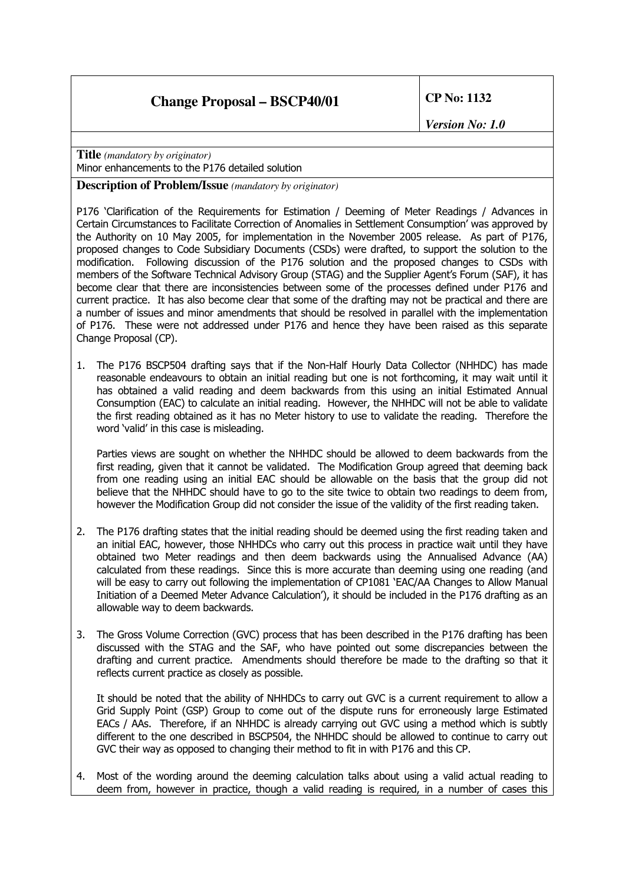**Title** *(mandatory by originator)* Minor enhancements to the P176 detailed solution

**Description of Problem/Issue** *(mandatory by originator)*

P176 'Clarification of the Requirements for Estimation / Deeming of Meter Readings / Advances in Certain Circumstances to Facilitate Correction of Anomalies in Settlement Consumption' was approved by the Authority on 10 May 2005, for implementation in the November 2005 release. As part of P176, proposed changes to Code Subsidiary Documents (CSDs) were drafted, to support the solution to the modification. Following discussion of the P176 solution and the proposed changes to CSDs with members of the Software Technical Advisory Group (STAG) and the Supplier Agent's Forum (SAF), it has become clear that there are inconsistencies between some of the processes defined under P176 and current practice. It has also become clear that some of the drafting may not be practical and there are a number of issues and minor amendments that should be resolved in parallel with the implementation of P176. These were not addressed under P176 and hence they have been raised as this separate Change Proposal (CP).

1. The P176 BSCP504 drafting says that if the Non-Half Hourly Data Collector (NHHDC) has made reasonable endeavours to obtain an initial reading but one is not forthcoming, it may wait until it has obtained a valid reading and deem backwards from this using an initial Estimated Annual Consumption (EAC) to calculate an initial reading. However, the NHHDC will not be able to validate the first reading obtained as it has no Meter history to use to validate the reading. Therefore the word 'valid' in this case is misleading.

Parties views are sought on whether the NHHDC should be allowed to deem backwards from the first reading, given that it cannot be validated. The Modification Group agreed that deeming back from one reading using an initial EAC should be allowable on the basis that the group did not believe that the NHHDC should have to go to the site twice to obtain two readings to deem from, however the Modification Group did not consider the issue of the validity of the first reading taken.

- 2. The P176 drafting states that the initial reading should be deemed using the first reading taken and an initial EAC, however, those NHHDCs who carry out this process in practice wait until they have obtained two Meter readings and then deem backwards using the Annualised Advance (AA) calculated from these readings. Since this is more accurate than deeming using one reading (and will be easy to carry out following the implementation of CP1081 'EAC/AA Changes to Allow Manual Initiation of a Deemed Meter Advance Calculation'), it should be included in the P176 drafting as an allowable way to deem backwards.
- 3. The Gross Volume Correction (GVC) process that has been described in the P176 drafting has been discussed with the STAG and the SAF, who have pointed out some discrepancies between the drafting and current practice. Amendments should therefore be made to the drafting so that it reflects current practice as closely as possible.

It should be noted that the ability of NHHDCs to carry out GVC is a current requirement to allow a Grid Supply Point (GSP) Group to come out of the dispute runs for erroneously large Estimated EACs / AAs. Therefore, if an NHHDC is already carrying out GVC using a method which is subtly different to the one described in BSCP504, the NHHDC should be allowed to continue to carry out GVC their way as opposed to changing their method to fit in with P176 and this CP.

4. Most of the wording around the deeming calculation talks about using a valid actual reading to deem from, however in practice, though a valid reading is required, in a number of cases this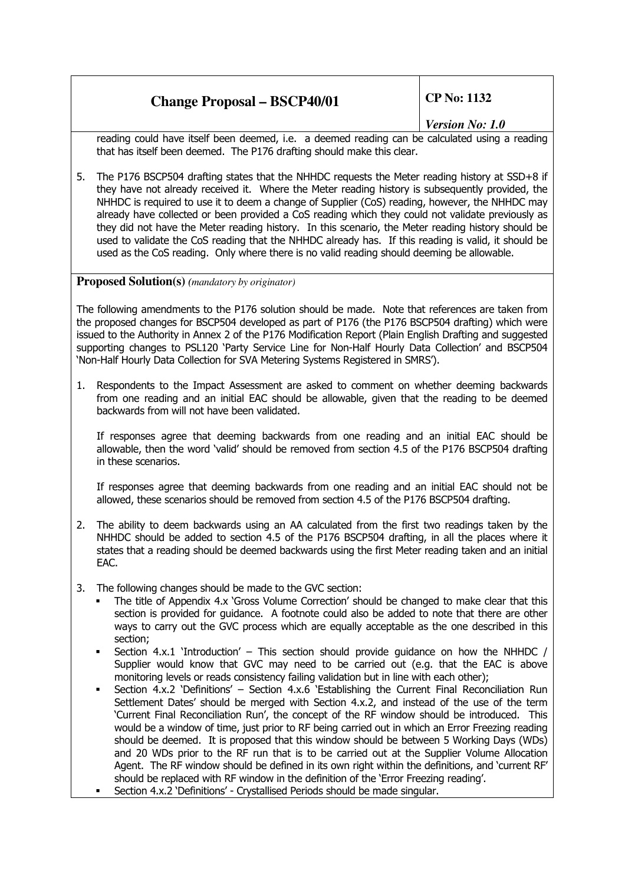|  | <b>Change Proposal - BSCP40/01</b> |
|--|------------------------------------|
|  |                                    |

*Version No: 1.0*

reading could have itself been deemed, i.e. a deemed reading can be calculated using a reading that has itself been deemed. The P176 drafting should make this clear.

5. The P176 BSCP504 drafting states that the NHHDC requests the Meter reading history at SSD+8 if they have not already received it. Where the Meter reading history is subsequently provided, the NHHDC is required to use it to deem a change of Supplier (CoS) reading, however, the NHHDC may already have collected or been provided a CoS reading which they could not validate previously as they did not have the Meter reading history. In this scenario, the Meter reading history should be used to validate the CoS reading that the NHHDC already has. If this reading is valid, it should be used as the CoS reading. Only where there is no valid reading should deeming be allowable.

**Proposed Solution(s)** *(mandatory by originator)*

The following amendments to the P176 solution should be made. Note that references are taken from the proposed changes for BSCP504 developed as part of P176 (the P176 BSCP504 drafting) which were issued to the Authority in Annex 2 of the P176 Modification Report (Plain English Drafting and suggested supporting changes to PSL120 'Party Service Line for Non-Half Hourly Data Collection' and BSCP504 'Non-Half Hourly Data Collection for SVA Metering Systems Registered in SMRS').

1. Respondents to the Impact Assessment are asked to comment on whether deeming backwards from one reading and an initial EAC should be allowable, given that the reading to be deemed backwards from will not have been validated.

If responses agree that deeming backwards from one reading and an initial EAC should be allowable, then the word 'valid' should be removed from section 4.5 of the P176 BSCP504 drafting in these scenarios.

If responses agree that deeming backwards from one reading and an initial EAC should not be allowed, these scenarios should be removed from section 4.5 of the P176 BSCP504 drafting.

- 2. The ability to deem backwards using an AA calculated from the first two readings taken by the NHHDC should be added to section 4.5 of the P176 BSCP504 drafting, in all the places where it states that a reading should be deemed backwards using the first Meter reading taken and an initial EAC.
- 3. The following changes should be made to the GVC section:
	- The title of Appendix 4.x 'Gross Volume Correction' should be changed to make clear that this section is provided for guidance. A footnote could also be added to note that there are other ways to carry out the GVC process which are equally acceptable as the one described in this section;
	- Section 4.x.1 'Introduction' This section should provide guidance on how the NHHDC / Supplier would know that GVC may need to be carried out (e.g. that the EAC is above monitoring levels or reads consistency failing validation but in line with each other);
	- Section 4.x.2 'Definitions' Section 4.x.6 'Establishing the Current Final Reconciliation Run Settlement Dates' should be merged with Section 4.x.2, and instead of the use of the term 'Current Final Reconciliation Run', the concept of the RF window should be introduced. This would be a window of time, just prior to RF being carried out in which an Error Freezing reading should be deemed. It is proposed that this window should be between 5 Working Days (WDs) and 20 WDs prior to the RF run that is to be carried out at the Supplier Volume Allocation Agent. The RF window should be defined in its own right within the definitions, and 'current RF' should be replaced with RF window in the definition of the 'Error Freezing reading'.
	- Section 4.x.2 'Definitions' Crystallised Periods should be made singular.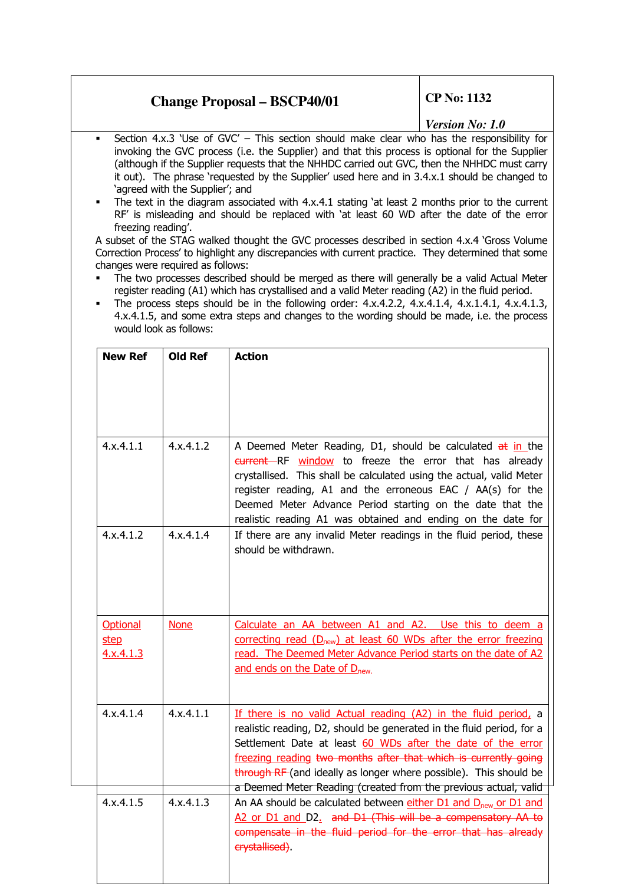### *Version No: 1.0*

- Section  $4.x.3$  'Use of GVC' This section should make clear who has the responsibility for invoking the GVC process (i.e. the Supplier) and that this process is optional for the Supplier (although if the Supplier requests that the NHHDC carried out GVC, then the NHHDC must carry it out). The phrase 'requested by the Supplier' used here and in 3.4.x.1 should be changed to 'agreed with the Supplier'; and
- The text in the diagram associated with 4.x.4.1 stating 'at least 2 months prior to the current RF' is misleading and should be replaced with 'at least 60 WD after the date of the error freezing reading'.

A subset of the STAG walked thought the GVC processes described in section 4.x.4 'Gross Volume Correction Process' to highlight any discrepancies with current practice. They determined that some changes were required as follows:

- The two processes described should be merged as there will generally be a valid Actual Meter register reading (A1) which has crystallised and a valid Meter reading (A2) in the fluid period.
- The process steps should be in the following order:  $4x.4.2.2$ ,  $4x.4.1.4$ ,  $4x.1.4.1$ ,  $4x.4.1.3$ , 4.x.4.1.5, and some extra steps and changes to the wording should be made, i.e. the process would look as follows:

| <b>New Ref</b>                | <b>Old Ref</b>   | <b>Action</b>                                                                                                                                                                                                                                                                                                                                                                                                      |  |
|-------------------------------|------------------|--------------------------------------------------------------------------------------------------------------------------------------------------------------------------------------------------------------------------------------------------------------------------------------------------------------------------------------------------------------------------------------------------------------------|--|
|                               |                  |                                                                                                                                                                                                                                                                                                                                                                                                                    |  |
|                               |                  |                                                                                                                                                                                                                                                                                                                                                                                                                    |  |
| $4 \times 4.1.1$              | $4 \times 4.1.2$ | A Deemed Meter Reading, D1, should be calculated at in the<br>eurrent RF window to freeze the error that has already<br>crystallised. This shall be calculated using the actual, valid Meter<br>register reading, A1 and the erroneous EAC / AA(s) for the<br>Deemed Meter Advance Period starting on the date that the<br>realistic reading A1 was obtained and ending on the date for                            |  |
| 4.x.4.1.2                     | $4 \times 4.1.4$ | If there are any invalid Meter readings in the fluid period, these<br>should be withdrawn.                                                                                                                                                                                                                                                                                                                         |  |
| Optional<br>step<br>4.x.4.1.3 | <b>None</b>      | Calculate an AA between A1 and A2. Use this to deem a<br>correcting read (D <sub>new</sub> ) at least 60 WDs after the error freezing<br>read. The Deemed Meter Advance Period starts on the date of A2<br>and ends on the Date of D <sub>new.</sub>                                                                                                                                                               |  |
| 4.x.4.1.4                     | 4.x.4.1.1        | If there is no valid Actual reading (A2) in the fluid period, a<br>realistic reading, D2, should be generated in the fluid period, for a<br>Settlement Date at least 60 WDs after the date of the error<br>freezing reading two months after that which is currently going<br>through RF (and ideally as longer where possible). This should be<br>a Deemed Meter Reading (created from the previous actual, valid |  |
| 4.x.4.1.5                     | 4.x.4.1.3        | An AA should be calculated between either D1 and D <sub>new</sub> or D1 and<br>A2 or D1 and D2. and D1 (This will be a compensatory AA to<br>compensate in the fluid period for the error that has already<br>erystallised).                                                                                                                                                                                       |  |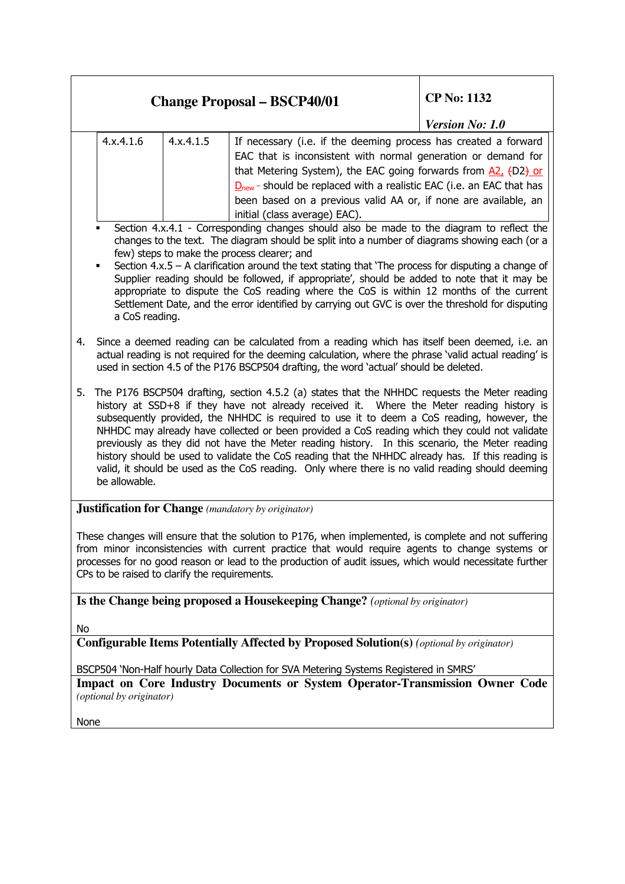| <b>Change Proposal - BSCP40/01</b>                                                                                                                                                                                                                                                                                                                                                                                                                                                                                                                                                                                                                                                                                          |                                                                                                                                                                                                                                                                                                                                                                                       | <b>CP No: 1132</b>     |  |  |
|-----------------------------------------------------------------------------------------------------------------------------------------------------------------------------------------------------------------------------------------------------------------------------------------------------------------------------------------------------------------------------------------------------------------------------------------------------------------------------------------------------------------------------------------------------------------------------------------------------------------------------------------------------------------------------------------------------------------------------|---------------------------------------------------------------------------------------------------------------------------------------------------------------------------------------------------------------------------------------------------------------------------------------------------------------------------------------------------------------------------------------|------------------------|--|--|
|                                                                                                                                                                                                                                                                                                                                                                                                                                                                                                                                                                                                                                                                                                                             |                                                                                                                                                                                                                                                                                                                                                                                       | <b>Version No: 1.0</b> |  |  |
| 4.x.4.1.6<br>4.x.4.1.5                                                                                                                                                                                                                                                                                                                                                                                                                                                                                                                                                                                                                                                                                                      | If necessary (i.e. if the deeming process has created a forward<br>EAC that is inconsistent with normal generation or demand for<br>that Metering System), the EAC going forwards from $A2$ , $(D2)$ or<br>$Dnew$ - should be replaced with a realistic EAC (i.e. an EAC that has<br>been based on a previous valid AA or, if none are available, an<br>initial (class average) EAC). |                        |  |  |
| Section 4.x.4.1 - Corresponding changes should also be made to the diagram to reflect the<br>changes to the text. The diagram should be split into a number of diagrams showing each (or a<br>few) steps to make the process clearer; and<br>Section $4.x.5 - A$ clarification around the text stating that 'The process for disputing a change of<br>Supplier reading should be followed, if appropriate', should be added to note that it may be<br>appropriate to dispute the CoS reading where the CoS is within 12 months of the current<br>Settlement Date, and the error identified by carrying out GVC is over the threshold for disputing<br>a CoS reading.                                                        |                                                                                                                                                                                                                                                                                                                                                                                       |                        |  |  |
| Since a deemed reading can be calculated from a reading which has itself been deemed, i.e. an<br>4.<br>actual reading is not required for the deeming calculation, where the phrase 'valid actual reading' is<br>used in section 4.5 of the P176 BSCP504 drafting, the word 'actual' should be deleted.                                                                                                                                                                                                                                                                                                                                                                                                                     |                                                                                                                                                                                                                                                                                                                                                                                       |                        |  |  |
| The P176 BSCP504 drafting, section 4.5.2 (a) states that the NHHDC requests the Meter reading<br>5.<br>history at SSD+8 if they have not already received it. Where the Meter reading history is<br>subsequently provided, the NHHDC is required to use it to deem a CoS reading, however, the<br>NHHDC may already have collected or been provided a CoS reading which they could not validate<br>previously as they did not have the Meter reading history. In this scenario, the Meter reading<br>history should be used to validate the CoS reading that the NHHDC already has. If this reading is<br>valid, it should be used as the CoS reading. Only where there is no valid reading should deeming<br>be allowable. |                                                                                                                                                                                                                                                                                                                                                                                       |                        |  |  |
| <b>Justification for Change</b> (mandatory by originator)                                                                                                                                                                                                                                                                                                                                                                                                                                                                                                                                                                                                                                                                   |                                                                                                                                                                                                                                                                                                                                                                                       |                        |  |  |
| These changes will ensure that the solution to P176, when implemented, is complete and not suffering<br>from minor inconsistencies with current practice that would require agents to change systems or<br>processes for no good reason or lead to the production of audit issues, which would necessitate further<br>CPs to be raised to clarify the requirements.                                                                                                                                                                                                                                                                                                                                                         |                                                                                                                                                                                                                                                                                                                                                                                       |                        |  |  |
| Is the Change being proposed a Housekeeping Change? (optional by originator)                                                                                                                                                                                                                                                                                                                                                                                                                                                                                                                                                                                                                                                |                                                                                                                                                                                                                                                                                                                                                                                       |                        |  |  |
| No                                                                                                                                                                                                                                                                                                                                                                                                                                                                                                                                                                                                                                                                                                                          |                                                                                                                                                                                                                                                                                                                                                                                       |                        |  |  |
| <b>Configurable Items Potentially Affected by Proposed Solution(s) (optional by originator)</b>                                                                                                                                                                                                                                                                                                                                                                                                                                                                                                                                                                                                                             |                                                                                                                                                                                                                                                                                                                                                                                       |                        |  |  |
| BSCP504 'Non-Half hourly Data Collection for SVA Metering Systems Registered in SMRS'<br>Impact on Core Industry Documents or System Operator-Transmission Owner Code<br>(optional by originator)                                                                                                                                                                                                                                                                                                                                                                                                                                                                                                                           |                                                                                                                                                                                                                                                                                                                                                                                       |                        |  |  |
| None                                                                                                                                                                                                                                                                                                                                                                                                                                                                                                                                                                                                                                                                                                                        |                                                                                                                                                                                                                                                                                                                                                                                       |                        |  |  |